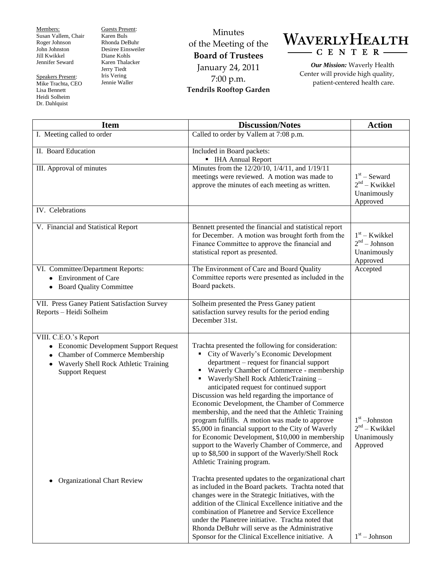Members: Susan Vallem, Chair Roger Johnson John Johnston Jill Kwikkel Jennifer Seward

Speakers Present: Mike Trachta, CEO Lisa Bennett Heidi Solheim Dr. Dahlquist

Guests Present: Karen Buls Rhonda DeBuhr Desiree Einsweiler Diane Kohls Karen Thalacker Jerry Tiedt Iris Vering Jennie Waller

Minutes of the Meeting of the **Board of Trustees** January 24, 2011 7:00 p.m. **Tendrils Rooftop Garden**



*Our Mission:* Waverly Health Center will provide high quality, patient-centered health care.

| <b>Item</b>                                                                                                                                                                                   | <b>Discussion/Notes</b>                                                                                                                                                                                                                                                                                                                                                                                                                                                                                                                                                                                                                                                                                                                            | <b>Action</b>                                                 |
|-----------------------------------------------------------------------------------------------------------------------------------------------------------------------------------------------|----------------------------------------------------------------------------------------------------------------------------------------------------------------------------------------------------------------------------------------------------------------------------------------------------------------------------------------------------------------------------------------------------------------------------------------------------------------------------------------------------------------------------------------------------------------------------------------------------------------------------------------------------------------------------------------------------------------------------------------------------|---------------------------------------------------------------|
| I. Meeting called to order                                                                                                                                                                    | Called to order by Vallem at 7:08 p.m.                                                                                                                                                                                                                                                                                                                                                                                                                                                                                                                                                                                                                                                                                                             |                                                               |
| II. Board Education                                                                                                                                                                           | Included in Board packets:<br>• IHA Annual Report                                                                                                                                                                                                                                                                                                                                                                                                                                                                                                                                                                                                                                                                                                  |                                                               |
| III. Approval of minutes                                                                                                                                                                      | Minutes from the 12/20/10, 1/4/11, and 1/19/11<br>meetings were reviewed. A motion was made to<br>approve the minutes of each meeting as written.                                                                                                                                                                                                                                                                                                                                                                                                                                                                                                                                                                                                  | $1st$ – Seward<br>$2nd - Kwikkel$<br>Unanimously<br>Approved  |
| IV. Celebrations                                                                                                                                                                              |                                                                                                                                                                                                                                                                                                                                                                                                                                                                                                                                                                                                                                                                                                                                                    |                                                               |
| V. Financial and Statistical Report                                                                                                                                                           | Bennett presented the financial and statistical report<br>for December. A motion was brought forth from the<br>Finance Committee to approve the financial and<br>statistical report as presented.                                                                                                                                                                                                                                                                                                                                                                                                                                                                                                                                                  | $1st - Kwikkel$<br>$2nd - Johnson$<br>Unanimously<br>Approved |
| VI. Committee/Department Reports:<br>• Environment of Care<br>• Board Quality Committee                                                                                                       | The Environment of Care and Board Quality<br>Committee reports were presented as included in the<br>Board packets.                                                                                                                                                                                                                                                                                                                                                                                                                                                                                                                                                                                                                                 | Accepted                                                      |
| VII. Press Ganey Patient Satisfaction Survey<br>Reports - Heidi Solheim                                                                                                                       | Solheim presented the Press Ganey patient<br>satisfaction survey results for the period ending<br>December 31st.                                                                                                                                                                                                                                                                                                                                                                                                                                                                                                                                                                                                                                   |                                                               |
| VIII. C.E.O.'s Report<br>• Economic Development Support Request<br>Chamber of Commerce Membership<br>$\bullet$<br>Waverly Shell Rock Athletic Training<br>$\bullet$<br><b>Support Request</b> | Trachta presented the following for consideration:<br>City of Waverly's Economic Development<br>٠<br>department - request for financial support<br>• Waverly Chamber of Commerce - membership<br>Waverly/Shell Rock AthleticTraining -<br>anticipated request for continued support<br>Discussion was held regarding the importance of<br>Economic Development, the Chamber of Commerce<br>membership, and the need that the Athletic Training<br>program fulfills. A motion was made to approve<br>\$5,000 in financial support to the City of Waverly<br>for Economic Development, \$10,000 in membership<br>support to the Waverly Chamber of Commerce, and<br>up to \$8,500 in support of the Waverly/Shell Rock<br>Athletic Training program. | $1st$ -Johnston<br>$2nd - Kwikkel$<br>Unanimously<br>Approved |
| <b>Organizational Chart Review</b><br>٠                                                                                                                                                       | Trachta presented updates to the organizational chart<br>as included in the Board packets. Trachta noted that<br>changes were in the Strategic Initiatives, with the<br>addition of the Clinical Excellence initiative and the<br>combination of Planetree and Service Excellence<br>under the Planetree initiative. Trachta noted that<br>Rhonda DeBuhr will serve as the Administrative<br>Sponsor for the Clinical Excellence initiative. A                                                                                                                                                                                                                                                                                                     | $1st - Johnson$                                               |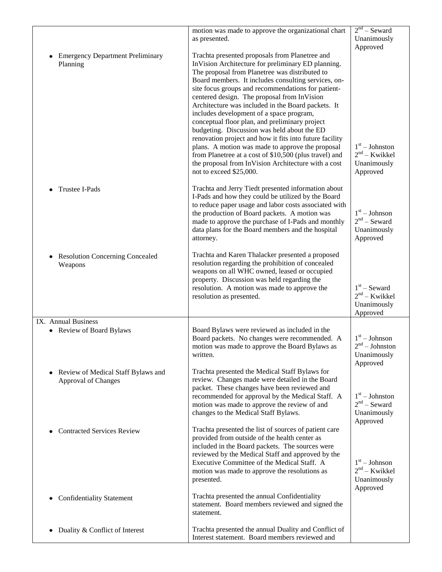|                                                                | motion was made to approve the organizational chart                                                                                                                                                                                                                                                                                                                                                                                                                                                                                                                                                                                                                                                                                                                              | $2nd -$ Seward                                                             |
|----------------------------------------------------------------|----------------------------------------------------------------------------------------------------------------------------------------------------------------------------------------------------------------------------------------------------------------------------------------------------------------------------------------------------------------------------------------------------------------------------------------------------------------------------------------------------------------------------------------------------------------------------------------------------------------------------------------------------------------------------------------------------------------------------------------------------------------------------------|----------------------------------------------------------------------------|
|                                                                | as presented.                                                                                                                                                                                                                                                                                                                                                                                                                                                                                                                                                                                                                                                                                                                                                                    | Unanimously                                                                |
| <b>Emergency Department Preliminary</b><br>Planning            | Trachta presented proposals from Planetree and<br>InVision Architecture for preliminary ED planning.<br>The proposal from Planetree was distributed to<br>Board members. It includes consulting services, on-<br>site focus groups and recommendations for patient-<br>centered design. The proposal from InVision<br>Architecture was included in the Board packets. It<br>includes development of a space program,<br>conceptual floor plan, and preliminary project<br>budgeting. Discussion was held about the ED<br>renovation project and how it fits into future facility<br>plans. A motion was made to approve the proposal<br>from Planetree at a cost of \$10,500 (plus travel) and<br>the proposal from InVision Architecture with a cost<br>not to exceed \$25,000. | Approved<br>$1st - Johnston$<br>$2nd - Kwikkel$<br>Unanimously<br>Approved |
| Trustee I-Pads                                                 | Trachta and Jerry Tiedt presented information about<br>I-Pads and how they could be utilized by the Board<br>to reduce paper usage and labor costs associated with<br>the production of Board packets. A motion was<br>made to approve the purchase of I-Pads and monthly<br>data plans for the Board members and the hospital<br>attorney.                                                                                                                                                                                                                                                                                                                                                                                                                                      | $1st - Johnson$<br>$2nd$ – Seward<br>Unanimously<br>Approved               |
| <b>Resolution Concerning Concealed</b><br>Weapons              | Trachta and Karen Thalacker presented a proposed<br>resolution regarding the prohibition of concealed<br>weapons on all WHC owned, leased or occupied<br>property. Discussion was held regarding the<br>resolution. A motion was made to approve the<br>resolution as presented.                                                                                                                                                                                                                                                                                                                                                                                                                                                                                                 | $1st$ – Seward<br>$2nd - Kwikkel$<br>Unanimously<br>Approved               |
| IX. Annual Business<br>• Review of Board Bylaws                | Board Bylaws were reviewed as included in the<br>Board packets. No changes were recommended. A<br>motion was made to approve the Board Bylaws as<br>written.                                                                                                                                                                                                                                                                                                                                                                                                                                                                                                                                                                                                                     | $1st - Johnson$<br>$2nd - Johnson$<br>Unanimously<br>Approved              |
| Review of Medical Staff Bylaws and<br>٠<br>Approval of Changes | Trachta presented the Medical Staff Bylaws for<br>review. Changes made were detailed in the Board<br>packet. These changes have been reviewed and<br>recommended for approval by the Medical Staff. A<br>motion was made to approve the review of and<br>changes to the Medical Staff Bylaws.                                                                                                                                                                                                                                                                                                                                                                                                                                                                                    | $1st - Johnston$<br>$2nd$ – Seward<br>Unanimously<br>Approved              |
| <b>Contracted Services Review</b>                              | Trachta presented the list of sources of patient care<br>provided from outside of the health center as<br>included in the Board packets. The sources were<br>reviewed by the Medical Staff and approved by the<br>Executive Committee of the Medical Staff. A<br>motion was made to approve the resolutions as<br>presented.                                                                                                                                                                                                                                                                                                                                                                                                                                                     | $1st - Johnson$<br>$2nd - Kwikkel$<br>Unanimously<br>Approved              |
| <b>Confidentiality Statement</b>                               | Trachta presented the annual Confidentiality<br>statement. Board members reviewed and signed the<br>statement.                                                                                                                                                                                                                                                                                                                                                                                                                                                                                                                                                                                                                                                                   |                                                                            |
| Duality & Conflict of Interest                                 | Trachta presented the annual Duality and Conflict of<br>Interest statement. Board members reviewed and                                                                                                                                                                                                                                                                                                                                                                                                                                                                                                                                                                                                                                                                           |                                                                            |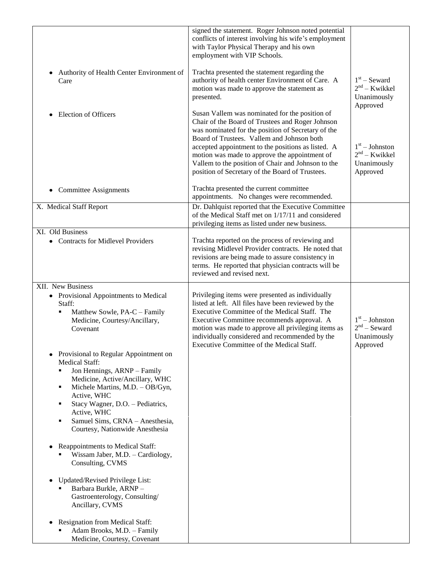| Authority of Health Center Environment of<br>$\bullet$<br>Care                                                                                                                                                                                                                                                                  | signed the statement. Roger Johnson noted potential<br>conflicts of interest involving his wife's employment<br>with Taylor Physical Therapy and his own<br>employment with VIP Schools.<br>Trachta presented the statement regarding the<br>authority of health center Environment of Care. A<br>motion was made to approve the statement as<br>presented.<br>Susan Vallem was nominated for the position of | $1st$ – Seward<br>$2nd - Kwikkel$<br>Unanimously<br>Approved   |
|---------------------------------------------------------------------------------------------------------------------------------------------------------------------------------------------------------------------------------------------------------------------------------------------------------------------------------|---------------------------------------------------------------------------------------------------------------------------------------------------------------------------------------------------------------------------------------------------------------------------------------------------------------------------------------------------------------------------------------------------------------|----------------------------------------------------------------|
| <b>Election of Officers</b><br>$\bullet$                                                                                                                                                                                                                                                                                        | Chair of the Board of Trustees and Roger Johnson<br>was nominated for the position of Secretary of the<br>Board of Trustees. Vallem and Johnson both<br>accepted appointment to the positions as listed. A<br>motion was made to approve the appointment of<br>Vallem to the position of Chair and Johnson to the<br>position of Secretary of the Board of Trustees.                                          | $1st - Johnston$<br>$2nd - Kwikkel$<br>Unanimously<br>Approved |
| <b>Committee Assignments</b><br>$\bullet$                                                                                                                                                                                                                                                                                       | Trachta presented the current committee<br>appointments. No changes were recommended.                                                                                                                                                                                                                                                                                                                         |                                                                |
| X. Medical Staff Report                                                                                                                                                                                                                                                                                                         | Dr. Dahlquist reported that the Executive Committee<br>of the Medical Staff met on 1/17/11 and considered<br>privileging items as listed under new business.                                                                                                                                                                                                                                                  |                                                                |
| XI. Old Business<br>• Contracts for Midlevel Providers                                                                                                                                                                                                                                                                          | Trachta reported on the process of reviewing and<br>revising Midlevel Provider contracts. He noted that<br>revisions are being made to assure consistency in<br>terms. He reported that physician contracts will be<br>reviewed and revised next.                                                                                                                                                             |                                                                |
| XII. New Business<br>• Provisional Appointments to Medical<br>Staff:<br>Matthew Sowle, PA-C - Family<br>٠<br>Medicine, Courtesy/Ancillary,<br>Covenant                                                                                                                                                                          | Privileging items were presented as individually<br>listed at left. All files have been reviewed by the<br>Executive Committee of the Medical Staff. The<br>Executive Committee recommends approval. A<br>motion was made to approve all privileging items as<br>individually considered and recommended by the<br>Executive Committee of the Medical Staff.                                                  | $1st - Johnston$<br>$2nd$ – Seward<br>Unanimously<br>Approved  |
| Provisional to Regular Appointment on<br><b>Medical Staff:</b><br>Jon Hennings, ARNP - Family<br>٠<br>Medicine, Active/Ancillary, WHC<br>Michele Martins, M.D. - OB/Gyn,<br>٠<br>Active, WHC<br>Stacy Wagner, D.O. - Pediatrics,<br>٠<br>Active, WHC<br>Samuel Sims, CRNA - Anesthesia,<br>٠<br>Courtesy, Nationwide Anesthesia |                                                                                                                                                                                                                                                                                                                                                                                                               |                                                                |
| Reappointments to Medical Staff:<br>Wissam Jaber, M.D. - Cardiology,<br>Consulting, CVMS                                                                                                                                                                                                                                        |                                                                                                                                                                                                                                                                                                                                                                                                               |                                                                |
| Updated/Revised Privilege List:<br>٠<br>Barbara Burkle, ARNP-<br>Gastroenterology, Consulting/<br>Ancillary, CVMS                                                                                                                                                                                                               |                                                                                                                                                                                                                                                                                                                                                                                                               |                                                                |
| Resignation from Medical Staff:<br>Adam Brooks, M.D. - Family<br>Medicine, Courtesy, Covenant                                                                                                                                                                                                                                   |                                                                                                                                                                                                                                                                                                                                                                                                               |                                                                |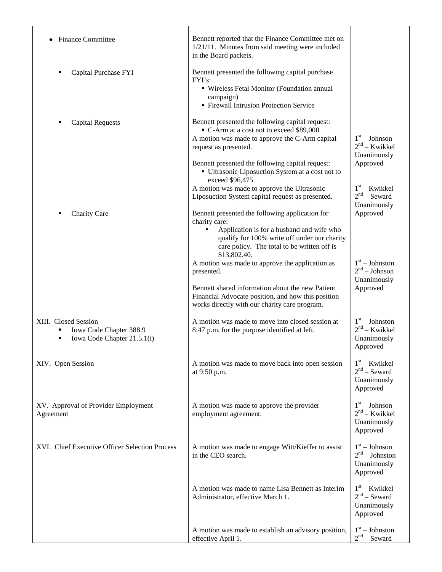| <b>Finance Committee</b>                                                       | Bennett reported that the Finance Committee met on<br>1/21/11. Minutes from said meeting were included<br>in the Board packets.                                                                                              |                                                                |
|--------------------------------------------------------------------------------|------------------------------------------------------------------------------------------------------------------------------------------------------------------------------------------------------------------------------|----------------------------------------------------------------|
| Capital Purchase FYI<br>٠                                                      | Bennett presented the following capital purchase<br>FYI's:<br>· Wireless Fetal Monitor (Foundation annual<br>campaign)<br>• Firewall Intrusion Protection Service                                                            |                                                                |
| <b>Capital Requests</b><br>٠                                                   | Bennett presented the following capital request:<br>C-Arm at a cost not to exceed \$89,000<br>A motion was made to approve the C-Arm capital<br>request as presented.                                                        | $1st - Johnson$<br>$2nd - Kwikkel$<br>Unanimously              |
|                                                                                | Bennett presented the following capital request:<br>• Ultrasonic Liposuction System at a cost not to<br>exceed \$96,475                                                                                                      | Approved                                                       |
|                                                                                | A motion was made to approve the Ultrasonic<br>Liposuction System capital request as presented.                                                                                                                              | $1st$ – Kwikkel<br>$2nd$ – Seward<br>Unanimously               |
| Charity Care<br>٠                                                              | Bennett presented the following application for<br>charity care:<br>Application is for a husband and wife who<br>qualify for 100% write off under our charity<br>care policy. The total to be written off is<br>\$13,802.40. | Approved                                                       |
|                                                                                | A motion was made to approve the application as<br>presented.                                                                                                                                                                | $1st - Johnston$<br>$2nd - Johnson$<br>Unanimously             |
|                                                                                | Bennett shared information about the new Patient<br>Financial Advocate position, and how this position<br>works directly with our charity care program.                                                                      | Approved                                                       |
| XIII. Closed Session<br>Iowa Code Chapter 388.9<br>Iowa Code Chapter 21.5.1(i) | A motion was made to move into closed session at<br>8:47 p.m. for the purpose identified at left.                                                                                                                            | $1st - Johnston$<br>$2nd - Kwikkel$<br>Unanimously<br>Approved |
| XIV. Open Session                                                              | A motion was made to move back into open session<br>at 9:50 p.m.                                                                                                                                                             | $1st$ – Kwikkel<br>$2nd$ – Seward<br>Unanimously<br>Approved   |
| XV. Approval of Provider Employment<br>Agreement                               | A motion was made to approve the provider<br>employment agreement.                                                                                                                                                           | $1st - Johnson$<br>$2nd - Kwikkel$<br>Unanimously<br>Approved  |
| XVI. Chief Executive Officer Selection Process                                 | A motion was made to engage Witt/Kieffer to assist<br>in the CEO search.                                                                                                                                                     | $1st - Johnson$<br>$2nd - Johnston$<br>Unanimously<br>Approved |
|                                                                                | A motion was made to name Lisa Bennett as Interim<br>Administrator, effective March 1.                                                                                                                                       | $1st$ – Kwikkel<br>$2nd$ – Seward<br>Unanimously<br>Approved   |
|                                                                                | A motion was made to establish an advisory position,<br>effective April 1.                                                                                                                                                   | $1st - Johnston$<br>$2nd$ – Seward                             |